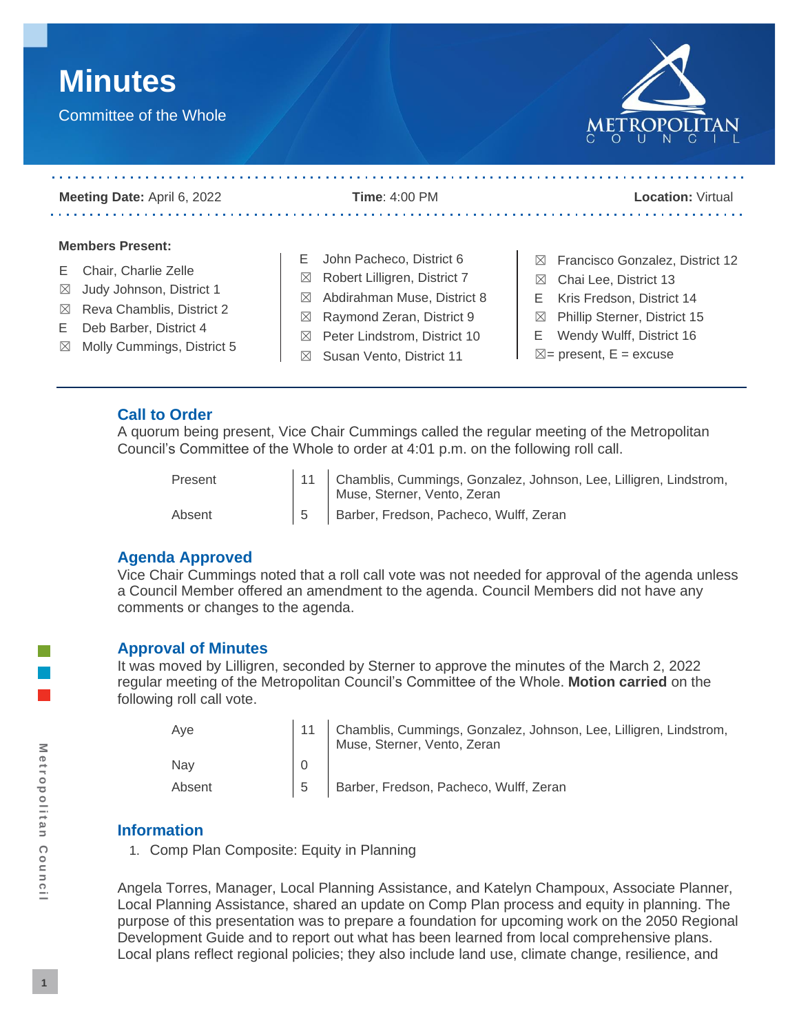



| Meeting Date: April 6, 2022                                                                                                                                                                                         | Time: $4:00$ PM                                                                                                                                                                                                  | <b>Location: Virtual</b>                                                                                                                                                                                |
|---------------------------------------------------------------------------------------------------------------------------------------------------------------------------------------------------------------------|------------------------------------------------------------------------------------------------------------------------------------------------------------------------------------------------------------------|---------------------------------------------------------------------------------------------------------------------------------------------------------------------------------------------------------|
| <b>Members Present:</b><br>Chair, Charlie Zelle<br>Judy Johnson, District 1<br>$\boxtimes$<br>Reva Chamblis, District 2<br>$\boxtimes$<br>Deb Barber, District 4<br>F.<br>Molly Cummings, District 5<br>$\boxtimes$ | John Pacheco, District 6<br>E.<br>Robert Lilligren, District 7<br>$\boxtimes$<br>$\boxtimes$ Abdirahman Muse, District 8<br>$\boxtimes$ Raymond Zeran, District 9<br>Peter Lindstrom, District 10<br>$\boxtimes$ | $\boxtimes$ Francisco Gonzalez, District 12<br>Chai Lee, District 13<br>$\boxtimes$<br>Kris Fredson, District 14<br>E.<br>Phillip Sterner, District 15<br>$\boxtimes$<br>Wendy Wulff, District 16<br>E. |

## **Call to Order**

A quorum being present, Vice Chair Cummings called the regular meeting of the Metropolitan Council's Committee of the Whole to order at 4:01 p.m. on the following roll call.

| Present | 11 Chamblis, Cummings, Gonzalez, Johnson, Lee, Lilligren, Lindstrom,<br>Muse, Sterner, Vento, Zeran |
|---------|-----------------------------------------------------------------------------------------------------|
| Absent  | 5 Barber, Fredson, Pacheco, Wulff, Zeran                                                            |

### **Agenda Approved**

Vice Chair Cummings noted that a roll call vote was not needed for approval of the agenda unless a Council Member offered an amendment to the agenda. Council Members did not have any comments or changes to the agenda.

#### **Approval of Minutes**

It was moved by Lilligren, seconded by Sterner to approve the minutes of the March 2, 2022 regular meeting of the Metropolitan Council's Committee of the Whole. **Motion carried** on the following roll call vote.

| Ave    | 11 Chamblis, Cummings, Gonzalez, Johnson, Lee, Lilligren, Lindstrom,<br>Muse, Sterner, Vento, Zeran |
|--------|-----------------------------------------------------------------------------------------------------|
| Nav    |                                                                                                     |
| Absent | Barber, Fredson, Pacheco, Wulff, Zeran                                                              |

### **Information**

1. Comp Plan Composite: Equity in Planning

Angela Torres, Manager, Local Planning Assistance, and Katelyn Champoux, Associate Planner, Local Planning Assistance, shared an update on Comp Plan process and equity in planning. The purpose of this presentation was to prepare a foundation for upcoming work on the 2050 Regional Development Guide and to report out what has been learned from local comprehensive plans. Local plans reflect regional policies; they also include land use, climate change, resilience, and